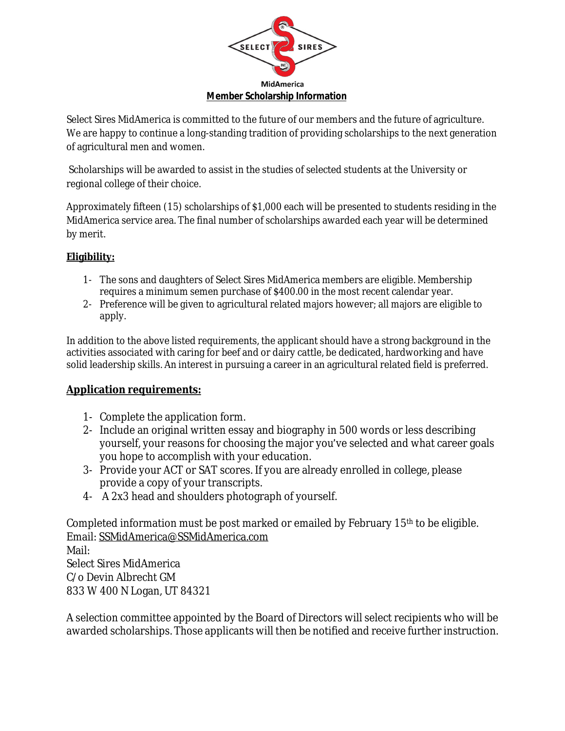

Select Sires MidAmerica is committed to the future of our members and the future of agriculture. We are happy to continue a long-standing tradition of providing scholarships to the next generation of agricultural men and women.

 Scholarships will be awarded to assist in the studies of selected students at the University or regional college of their choice.

Approximately fifteen (15) scholarships of \$1,000 each will be presented to students residing in the MidAmerica service area. The final number of scholarships awarded each year will be determined by merit.

## **Eligibility:**

- 1- The sons and daughters of Select Sires MidAmerica members are eligible. Membership requires a minimum semen purchase of \$400.00 in the most recent calendar year.
- 2- Preference will be given to agricultural related majors however; all majors are eligible to apply.

In addition to the above listed requirements, the applicant should have a strong background in the activities associated with caring for beef and or dairy cattle, be dedicated, hardworking and have solid leadership skills. An interest in pursuing a career in an agricultural related field is preferred.

## **Application requirements:**

- 1- Complete the application form.
- 2- Include an original written essay and biography in 500 words or less describing yourself, your reasons for choosing the major you've selected and what career goals you hope to accomplish with your education.
- 3- Provide your ACT or SAT scores. If you are already enrolled in college, please provide a copy of your transcripts.
- 4- A 2x3 head and shoulders photograph of yourself.

Completed information must be post marked or emailed by February 15th to be eligible. Email: [SSMidAmerica@SSMidAmerica.com](mailto:SSMidAmerica@SSMidAmerica.com) 

Mail: Select Sires MidAmerica C/o Devin Albrecht GM 833 W 400 N Logan, UT 84321

A selection committee appointed by the Board of Directors will select recipients who will be awarded scholarships. Those applicants will then be notified and receive further instruction.